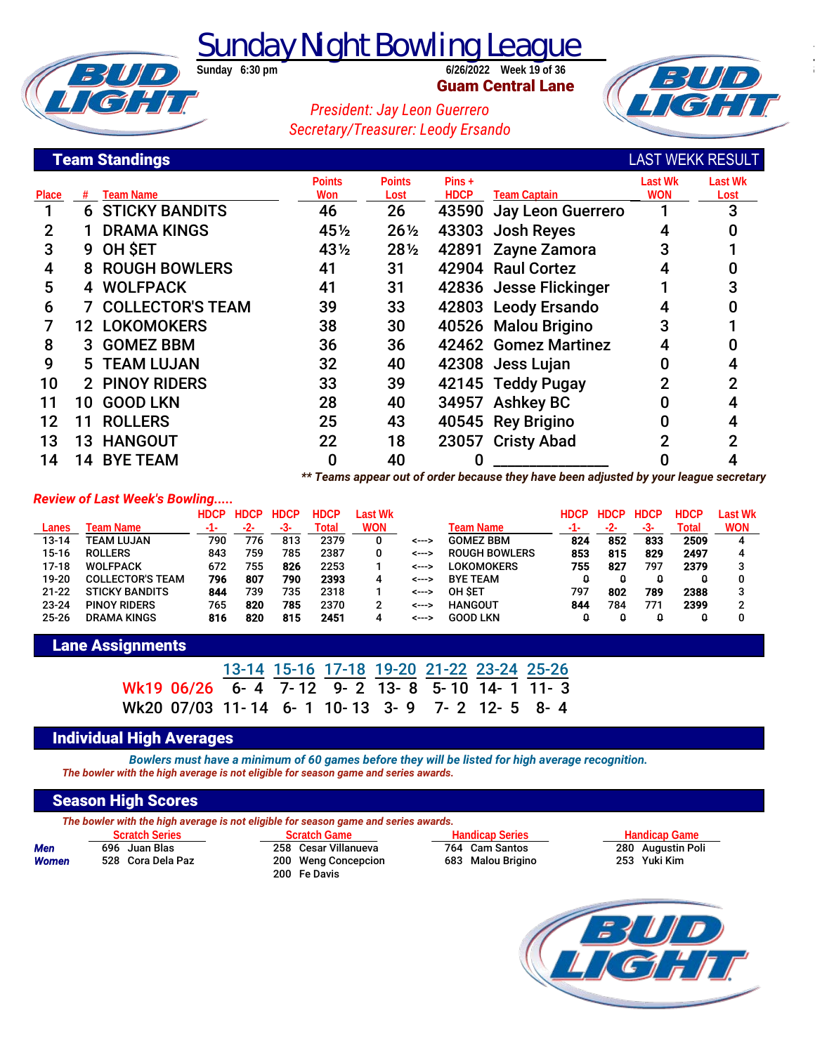**Sunday Night Bowling League** 

**Guam Central Lane**



## *President: Jay Leon Guerrero Secretary/Treasurer: Leody Ersando*

## **Team Standings**

**BUD**<br>ICH

|       |    | <b>Team Standings</b>     |                             |                 |             |                                                                               | <b>LAST WEKK RESULT</b> |                |
|-------|----|---------------------------|-----------------------------|-----------------|-------------|-------------------------------------------------------------------------------|-------------------------|----------------|
|       |    |                           | <b>Points</b>               | <b>Points</b>   | $Pins +$    |                                                                               | <b>Last Wk</b>          | <b>Last Wk</b> |
| Place |    | <b>Team Name</b>          | Won                         | Lost            | <b>HDCP</b> | <b>Team Captain</b>                                                           | <b>WON</b>              | Lost           |
|       |    | <b>6 STICKY BANDITS</b>   | 46                          | 26              |             | 43590 Jay Leon Guerrero                                                       |                         |                |
| 2     |    | <b>DRAMA KINGS</b>        | 45½                         | $26\frac{1}{2}$ |             | 43303 Josh Reyes                                                              | 4                       |                |
| 3     |    | 9 OH SET                  | 43½                         | $28\frac{1}{2}$ |             | 42891 Zayne Zamora                                                            |                         |                |
| 4     |    | <b>8 ROUGH BOWLERS</b>    | 41                          | 31              |             | 42904 Raul Cortez                                                             |                         |                |
| 5     |    | 4 WOLFPACK                | 41                          | 31              |             | 42836 Jesse Flickinger                                                        |                         |                |
| 6     |    | <b>7 COLLECTOR'S TEAM</b> | 39                          | 33              |             | 42803 Leody Ersando                                                           |                         |                |
|       |    | <b>12 LOKOMOKERS</b>      | 38                          | 30              |             | 40526 Malou Brigino                                                           | 3                       |                |
| 8     |    | 3 GOMEZ BBM               | 36                          | 36              |             | 42462 Gomez Martinez                                                          |                         |                |
| 9     |    | <b>5 TEAM LUJAN</b>       | 32                          | 40              |             | 42308 Jess Lujan                                                              |                         |                |
| 10    |    | 2 PINOY RIDERS            | 33                          | 39              |             | 42145 Teddy Pugay                                                             |                         |                |
| 11    |    | 10 GOOD LKN               | 28                          | 40              |             | 34957 Ashkey BC                                                               |                         |                |
| 12    | 11 | <b>ROLLERS</b>            | 25                          | 43              |             | 40545 Rey Brigino                                                             |                         |                |
| 13    |    | <b>13 HANGOUT</b>         | 22                          | 18              |             | 23057 Cristy Abad                                                             |                         |                |
| 14    | 14 | <b>BYE TEAM</b>           | 0                           | 40              |             |                                                                               |                         |                |
|       |    |                           | المستحدث والمتحلة والمعاملة |                 |             | and of andershave and district and the contract of the state of the second to |                         |                |

*\*\* Teams appear out of order because they have been adjusted by your league secretary*

#### *Review of Last Week's Bowling.....*

|           |                         | <b>HDCP</b> | <b>HDCP</b> | <b>HDCP</b> | <b>HDCP</b> | Last Wk    |       |                      | HDCP | <b>HDCP</b> | <b>HDCP</b> | <b>HDCP</b> | Last Wk    |
|-----------|-------------------------|-------------|-------------|-------------|-------------|------------|-------|----------------------|------|-------------|-------------|-------------|------------|
| Lanes     | Team Name               | -1-         | -2-         | -5-         | Total       | <b>WON</b> |       | Team Name            |      | -2-         | -3-         | Total       | <b>WON</b> |
| $13 - 14$ | TEAM LUJAN              | 790         | 776         | 813         | 2379        |            | <---> | <b>GOMEZ BBM</b>     | 824  | 852         | 833         | 2509        | 4          |
| $15-16$   | <b>ROLLERS</b>          | 843         | 759         | 785         | 2387        |            | <---> | <b>ROUGH BOWLERS</b> | 853  | 815         | 829         | 2497        | 4          |
| $17-18$   | <b>WOLFPACK</b>         | 672         | 755         | 826         | 2253        |            | <---> | LOKOMOKERS           | 755  | 827         | 797         | 2379        |            |
| 19-20     | <b>COLLECTOR'S TEAM</b> | 796         | 807         | 790         | 2393        | 4          | <---> | <b>BYE TEAM</b>      |      |             | 0           |             |            |
| $21 - 22$ | <b>STICKY BANDITS</b>   | 844         | 739         | 735         | 2318        |            | <---> | OH SET               | 797  | 802         | 789         | 2388        |            |
| $23 - 24$ | <b>PINOY RIDERS</b>     | 765         | 820         | 785         | 2370        |            | <---> | <b>HANGOUT</b>       | 844  | 784         | 771         | 2399        |            |
| $25 - 26$ | <b>DRAMA KINGS</b>      | 816         | 820         | 815         | 2451        | 4          | <---> | <b>GOOD LKN</b>      |      |             | 0           |             |            |

### **Lane Assignments**

|  |  | 13-14 15-16 17-18 19-20 21-22 23-24 25-26 |  |                                             |
|--|--|-------------------------------------------|--|---------------------------------------------|
|  |  |                                           |  | Wk19 06/26 6-4 7-12 9-2 13-8 5-10 14-1 11-3 |
|  |  |                                           |  | Wk20 07/03 11-14 6-1 10-13 3-9 7-2 12-5 8-4 |

#### **Individual High Averages**

*Bowlers must have a minimum of 60 games before they will be listed for high average recognition. The bowler with the high average is not eligible for season game and series awards.*

## **Season High Scores**

|  | The bowler with the high average is not eligible for season game and series awards. |  |  |
|--|-------------------------------------------------------------------------------------|--|--|
|  |                                                                                     |  |  |

|              | <b>SUITELL</b> INDIA |                   |  |  |  |  |  |  |  |
|--------------|----------------------|-------------------|--|--|--|--|--|--|--|
| Men          |                      | 696 Juan Blas     |  |  |  |  |  |  |  |
| <b>Women</b> |                      | 528 Cora Dela Paz |  |  |  |  |  |  |  |

**Mena 258 Cesar Villanueva 2564 Cam Santos 280 Augustin 200 Augustin 200 Augustin 258 Politics** 253 Puki Kim **200 Weng Concepcion** 200 Fe Davis

**Scratch Series Scratch Game Handicap Series Handicap Game**

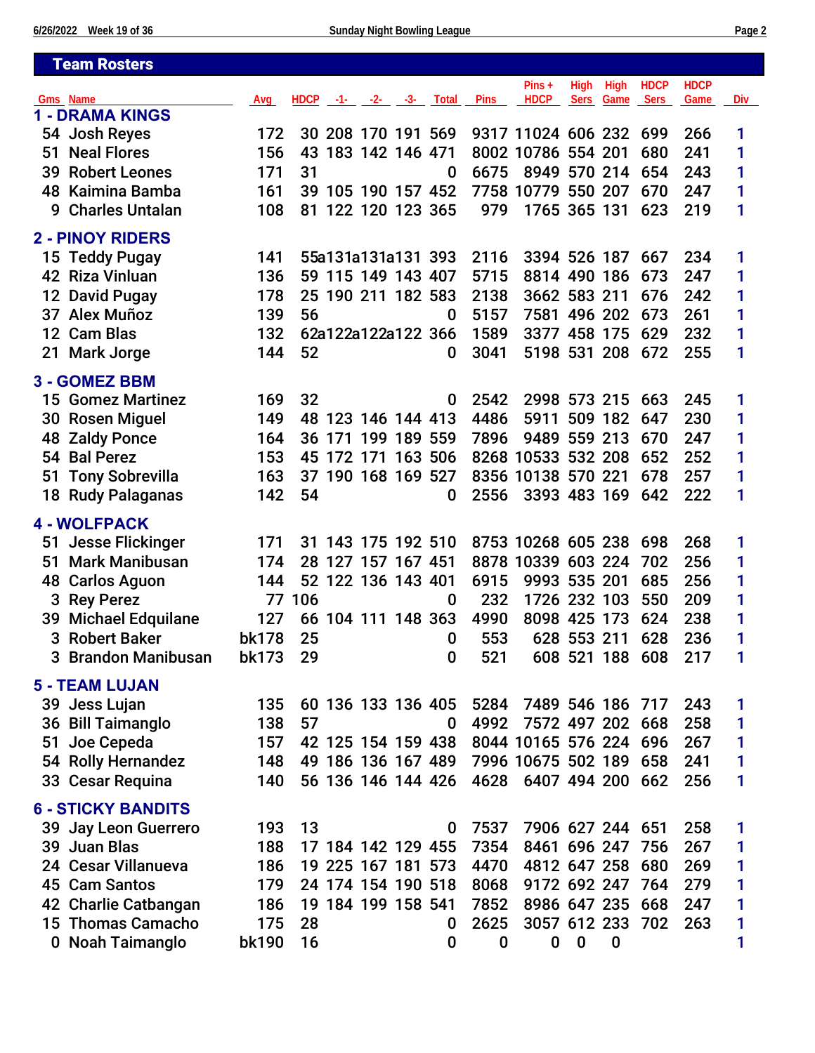|    | <b>Team Rosters</b>                       |              |     |                             |                 |         |          |              |                              |             |                  |             |             |     |
|----|-------------------------------------------|--------------|-----|-----------------------------|-----------------|---------|----------|--------------|------------------------------|-------------|------------------|-------------|-------------|-----|
|    |                                           |              |     |                             |                 |         |          |              | $Pins +$                     | High        | High             | <b>HDCP</b> | <b>HDCP</b> |     |
|    | <b>Gms</b> Name<br><b>1 - DRAMA KINGS</b> | Avg          |     | $HDCP -1 - -2 - -3 - Total$ |                 |         |          | <b>Pins</b>  | <b>HDCP</b>                  | <b>Sers</b> | Game             | <b>Sers</b> | Game        | Div |
|    |                                           |              |     |                             |                 |         |          |              |                              |             |                  | 699         |             |     |
|    | 54 Josh Reyes                             | 172          |     | 30 208 170 191 569          |                 |         |          |              | 9317 11024 606 232           |             |                  |             | 266         | 1   |
| 51 | <b>Neal Flores</b>                        | 156          | 43  |                             | 183 142 146 471 |         |          |              | 8002 10786 554 201           |             |                  | 680         | 241         | 1   |
| 39 | <b>Robert Leones</b>                      | 171          | 31  |                             |                 |         | $\bf{0}$ | 6675         | 8949 570 214                 |             |                  | 654         | 243         | 1   |
| 48 | Kaimina Bamba                             | 161          |     | 39 105 190 157 452          |                 |         |          |              | 7758 10779 550 207           |             |                  | 670         | 247         | 1   |
| 9  | <b>Charles Untalan</b>                    | 108          | 81  |                             | 122 120 123 365 |         |          | 979          | 1765 365 131                 |             |                  | 623         | 219         | 1   |
|    | <b>2 - PINOY RIDERS</b>                   |              |     |                             |                 |         |          |              |                              |             |                  |             |             |     |
|    | 15 Teddy Pugay                            | 141          |     | 55a131a131a131 393          |                 |         |          | 2116         | 3394 526 187                 |             |                  | 667         | 234         | 1   |
|    | 42 Riza Vinluan                           | 136          |     | 59 115 149 143 407          |                 |         |          | 5715         | 8814 490 186                 |             |                  | 673         | 247         | 1   |
|    | 12 David Pugay                            | 178          |     | 25 190 211 182 583          |                 |         |          | 2138         | 3662 583 211                 |             |                  | 676         | 242         | 1   |
|    | 37 Alex Muñoz                             | 139          | 56  |                             |                 |         | $\bf{0}$ | 5157         | 7581 496 202                 |             |                  | 673         | 261         | 1   |
|    | 12 Cam Blas                               | 132          |     | 62a122a122a122 366          |                 |         |          | 1589         | 3377 458 175                 |             |                  | 629         | 232         | 1   |
|    | 21 Mark Jorge                             | 144          | 52  |                             |                 |         | 0        | 3041         | 5198 531 208                 |             |                  | 672         | 255         | 1   |
|    |                                           |              |     |                             |                 |         |          |              |                              |             |                  |             |             |     |
|    | 3 - GOMEZ BBM                             |              |     |                             |                 |         |          |              |                              |             |                  |             |             |     |
|    | <b>15 Gomez Martinez</b>                  | 169          | 32  |                             |                 |         | 0        | 2542         | 2998 573 215                 |             |                  | 663         | 245         | 1   |
|    | 30 Rosen Miguel                           | 149          |     | 48 123 146 144 413          |                 |         |          | 4486         | 5911                         |             | 509 182          | 647         | 230         | 1   |
|    | <b>48 Zaldy Ponce</b>                     | 164          |     | 36 171 199 189 559          |                 |         |          | 7896         | 9489 559 213                 |             |                  | 670         | 247         | 1   |
|    | 54 Bal Perez                              | 153          |     | 45 172 171                  |                 | 163 506 |          |              | 8268 10533 532 208           |             |                  | 652         | 252         | 1   |
| 51 | <b>Tony Sobrevilla</b>                    | 163          |     | 37 190 168 169 527          |                 |         |          |              | 8356 10138 570 221           |             |                  | 678         | 257         | 1   |
|    | 18 Rudy Palaganas                         | 142          | 54  |                             |                 |         | 0        | 2556         | 3393 483 169                 |             |                  | 642         | 222         | 1   |
|    | 4 - WOLFPACK                              |              |     |                             |                 |         |          |              |                              |             |                  |             |             |     |
| 51 | <b>Jesse Flickinger</b>                   | 171          |     | 31 143 175 192 510          |                 |         |          |              | 8753 10268 605 238           |             |                  | 698         | 268         | 1   |
| 51 | <b>Mark Manibusan</b>                     | 174          | 28  | 127 157 167 451             |                 |         |          |              | 8878 10339 603 224           |             |                  | 702         | 256         | 1   |
| 48 | <b>Carlos Aguon</b>                       | 144          |     | 52 122 136 143 401          |                 |         |          | 6915         | 9993 535 201                 |             |                  | 685         | 256         | 1   |
| 3  | <b>Rey Perez</b>                          | 77           | 106 |                             |                 |         | 0        | 232          | 1726 232 103                 |             |                  | 550         | 209         | 1   |
|    | 39 Michael Edquilane                      | 127          |     | 66 104 111 148 363          |                 |         |          | 4990         | 8098 425 173                 |             |                  | 624         | 238         | 1   |
|    | 3 Robert Baker                            | <b>bk178</b> | 25  |                             |                 |         | 0        | 553          |                              | 628 553 211 |                  | 628         | 236         | 1   |
|    | 3 Brandon Manibusan                       | bk173        | 29  |                             |                 |         | 0        | 521          |                              |             | 608 521 188 608  |             | 217         | 1   |
|    |                                           |              |     |                             |                 |         |          |              |                              |             |                  |             |             |     |
|    | <b>5 - TEAM LUJAN</b>                     |              |     |                             |                 |         |          |              |                              |             |                  |             |             |     |
|    | 39 Jess Lujan                             | 135          |     | 60 136 133 136 405          |                 |         |          | 5284         | 7489 546 186 717             |             |                  |             | 243         | 1   |
|    | 36 Bill Taimanglo                         | 138          | 57  |                             |                 |         | 0        | 4992         | 7572 497 202 668             |             |                  |             | 258         | 1   |
| 51 | Joe Cepeda                                | 157          |     | 42 125 154 159 438          |                 |         |          |              | 8044 10165 576 224 696       |             |                  |             | 267         | 1   |
|    | 54 Rolly Hernandez                        | 148          |     | 49 186 136 167 489          |                 |         |          |              | 7996 10675 502 189           |             |                  | 658         | 241         | 1   |
|    | 33 Cesar Requina                          | 140          |     | 56 136 146 144 426          |                 |         |          | 4628         | 6407 494 200 662             |             |                  |             | 256         | 1   |
|    | <b>6 - STICKY BANDITS</b>                 |              |     |                             |                 |         |          |              |                              |             |                  |             |             |     |
|    | 39 Jay Leon Guerrero                      | 193          | 13  |                             |                 |         | 0        | 7537         | 7906 627 244 651             |             |                  |             | 258         | 1   |
|    | 39 Juan Blas                              | 188          |     | 17 184 142 129 455          |                 |         |          | 7354         | 8461 696 247                 |             |                  | 756         | 267         | 1   |
|    | 24 Cesar Villanueva                       | 186          |     | 19 225 167 181 573          |                 |         |          | 4470         |                              |             |                  | 680         | 269         |     |
|    | 45 Cam Santos                             | 179          |     | 24 174 154 190 518          |                 |         |          |              | 4812 647 258<br>9172 692 247 |             |                  | 764         | 279         | 1   |
|    |                                           | 186          |     | 19 184 199 158 541          |                 |         |          | 8068<br>7852 | 8986 647 235 668             |             |                  |             | 247         | 1   |
|    | 42 Charlie Catbangan                      |              |     |                             |                 |         |          |              |                              |             |                  |             |             | 1   |
|    | 15 Thomas Camacho                         | 175          | 28  |                             |                 |         | 0        | 2625         | 3057 612 233                 |             |                  | 702         | 263         | 1   |
|    | 0 Noah Taimanglo                          | bk190        | 16  |                             |                 |         | 0        | 0            | 0                            | $\bf{0}$    | $\boldsymbol{0}$ |             |             | 1   |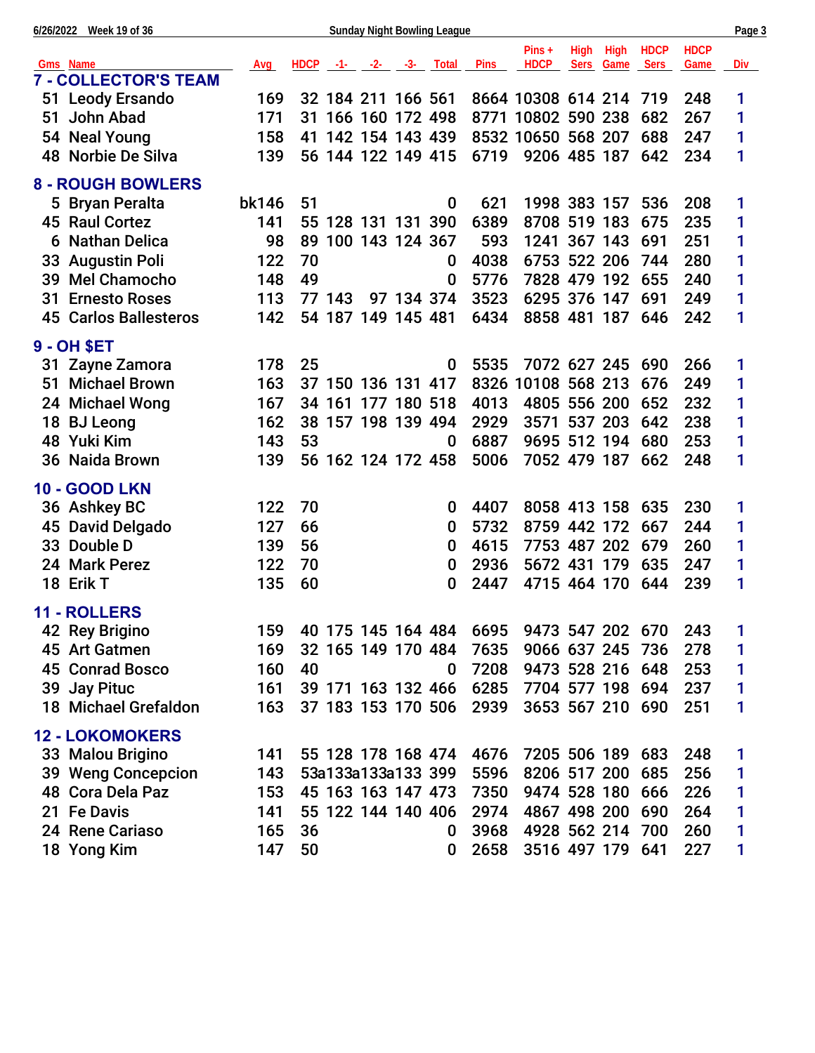|    | 6/26/2022 Week 19 of 36      |            |    |        |                             |            | <b>Sunday Night Bowling League</b> |             |                        |      |                   |                            |                     | Page 3     |
|----|------------------------------|------------|----|--------|-----------------------------|------------|------------------------------------|-------------|------------------------|------|-------------------|----------------------------|---------------------|------------|
|    | Gms Name                     | <b>Avg</b> |    |        | $HDCP$ $-1$ $-2$ $-3$ Total |            |                                    | <b>Pins</b> | $Pins +$<br>HDCP       | High | High<br>Sers Game | <b>HDCP</b><br><b>Sers</b> | <b>HDCP</b><br>Game | <u>Div</u> |
|    | <b>7 - COLLECTOR'S TEAM</b>  |            |    |        |                             |            |                                    |             |                        |      |                   |                            |                     |            |
|    | 51 Leody Ersando             | 169        |    |        | 32 184 211 166 561          |            |                                    |             | 8664 10308 614 214 719 |      |                   |                            | 248                 | 1          |
| 51 | John Abad                    | 171        |    |        | 31 166 160 172 498          |            |                                    |             | 8771 10802 590 238     |      |                   | 682                        | 267                 | 1          |
|    | 54 Neal Young                | 158        |    |        | 41 142 154 143 439          |            |                                    |             | 8532 10650 568 207     |      |                   | 688                        | 247                 | 1          |
|    | 48 Norbie De Silva           | 139        |    |        | 56 144 122 149 415          |            |                                    |             | 6719 9206 485 187      |      |                   | 642                        | 234                 | 1          |
|    | <b>8 - ROUGH BOWLERS</b>     |            |    |        |                             |            |                                    |             |                        |      |                   |                            |                     |            |
|    | 5 Bryan Peralta              | bk146      | 51 |        |                             |            | 0                                  | 621         | 1998 383 157           |      |                   | 536                        | 208                 | 1          |
|    | 45 Raul Cortez               | 141        |    |        | 55 128 131 131 390          |            |                                    | 6389        | 8708 519 183           |      |                   | 675                        | 235                 | 1          |
|    | <b>6 Nathan Delica</b>       | 98         |    |        | 89 100 143 124 367          |            |                                    | 593         | 1241 367 143           |      |                   | 691                        | 251                 | 1          |
|    | 33 Augustin Poli             | 122        | 70 |        |                             |            | 0                                  | 4038        | 6753 522 206           |      |                   | 744                        | 280                 | 1          |
|    | 39 Mel Chamocho              | 148        | 49 |        |                             |            | 0                                  | 5776        | 7828 479 192           |      |                   | 655                        | 240                 | 1          |
| 31 | <b>Ernesto Roses</b>         | 113        |    | 77 143 |                             | 97 134 374 |                                    | 3523        | 6295 376 147           |      |                   | 691                        | 249                 | 1          |
|    | <b>45 Carlos Ballesteros</b> | 142        |    |        | 54 187 149 145 481          |            |                                    | 6434        | 8858 481 187 646       |      |                   |                            | 242                 | 1          |
|    | 9 - OH \$ET                  |            |    |        |                             |            |                                    |             |                        |      |                   |                            |                     |            |
|    | 31 Zayne Zamora              | 178        | 25 |        |                             |            | 0                                  | 5535        | 7072 627 245 690       |      |                   |                            | 266                 | 1          |
|    | 51 Michael Brown             | 163        |    |        | 37 150 136 131 417          |            |                                    |             | 8326 10108 568 213     |      |                   | 676                        | 249                 | 1          |
|    | 24 Michael Wong              | 167        |    |        | 34 161 177 180 518          |            |                                    | 4013        | 4805 556 200           |      |                   | 652                        | 232                 | 1          |
|    | 18 BJ Leong                  | 162        |    |        | 38 157 198 139 494          |            |                                    | 2929        | 3571 537 203           |      |                   | 642                        | 238                 | 1          |
|    | 48 Yuki Kim                  | 143        | 53 |        |                             |            | $\bf{0}$                           | 6887        | 9695 512 194           |      |                   | 680                        | 253                 | 1          |
|    | 36 Naida Brown               | 139        |    |        | 56 162 124 172 458          |            |                                    | 5006        | 7052 479 187 662       |      |                   |                            | 248                 | 1          |
|    | <b>10 - GOOD LKN</b>         |            |    |        |                             |            |                                    |             |                        |      |                   |                            |                     |            |
|    | 36 Ashkey BC                 | 122        | 70 |        |                             |            | 0                                  | 4407        | 8058 413 158 635       |      |                   |                            | 230                 | 1          |
|    | 45 David Delgado             | 127        | 66 |        |                             |            | 0                                  | 5732        | 8759 442 172           |      |                   | 667                        | 244                 | 1          |
|    | 33 Double D                  | 139        | 56 |        |                             |            | 0                                  | 4615        | 7753 487 202           |      |                   | 679                        | 260                 | 1          |
|    | 24 Mark Perez                | 122        | 70 |        |                             |            | 0                                  | 2936        | 5672 431 179           |      |                   | 635                        | 247                 | 1          |
|    | 18 Erik T                    | 135        | 60 |        |                             |            | 0                                  | 2447        | 4715 464 170           |      |                   | 644                        | 239                 | 1          |
|    | 11 - ROLLERS                 |            |    |        |                             |            |                                    |             |                        |      |                   |                            |                     |            |
|    | 42 Rey Brigino               | 159        |    |        | 40 175 145 164 484          |            |                                    | 6695        | 9473 547 202           |      |                   | 670                        | 243                 | 1          |
|    | 45 Art Gatmen                | 169        |    |        | 32 165 149 170 484          |            |                                    | 7635        | 9066 637 245           |      |                   | 736                        | 278                 | 1          |
|    | <b>45 Conrad Bosco</b>       | 160        | 40 |        |                             |            | 0                                  | 7208        | 9473 528 216 648       |      |                   |                            | 253                 | 1          |
|    | 39 Jay Pituc                 | 161        |    |        | 39 171 163 132 466          |            |                                    | 6285        | 7704 577 198           |      |                   | 694                        | 237                 | 1          |
|    | <b>18 Michael Grefaldon</b>  | 163        |    |        | 37 183 153 170 506          |            |                                    | 2939        | 3653 567 210 690       |      |                   |                            | 251                 | 1          |
|    | <b>12 - LOKOMOKERS</b>       |            |    |        |                             |            |                                    |             |                        |      |                   |                            |                     |            |
|    | 33 Malou Brigino             | 141        |    |        | 55 128 178 168 474          |            |                                    | 4676        | 7205 506 189 683       |      |                   |                            | 248                 | 1          |
|    | 39 Weng Concepcion           | 143        |    |        | 53a133a133a133 399          |            |                                    | 5596        | 8206 517 200           |      |                   | 685                        | 256                 | 1          |
|    | 48 Cora Dela Paz             | 153        |    |        | 45 163 163 147 473          |            |                                    | 7350        | 9474 528 180           |      |                   | 666                        | 226                 | 1          |
|    | 21 Fe Davis                  | 141        |    |        | 55 122 144 140 406          |            |                                    | 2974        | 4867 498 200           |      |                   | 690                        | 264                 | 1          |
|    | 24 Rene Cariaso              | 165        | 36 |        |                             |            | 0                                  | 3968        | 4928 562 214           |      |                   | 700                        | 260                 | 1          |
|    | 18 Yong Kim                  | 147        | 50 |        |                             |            | 0                                  | 2658        | 3516 497 179 641       |      |                   |                            | 227                 | 1          |